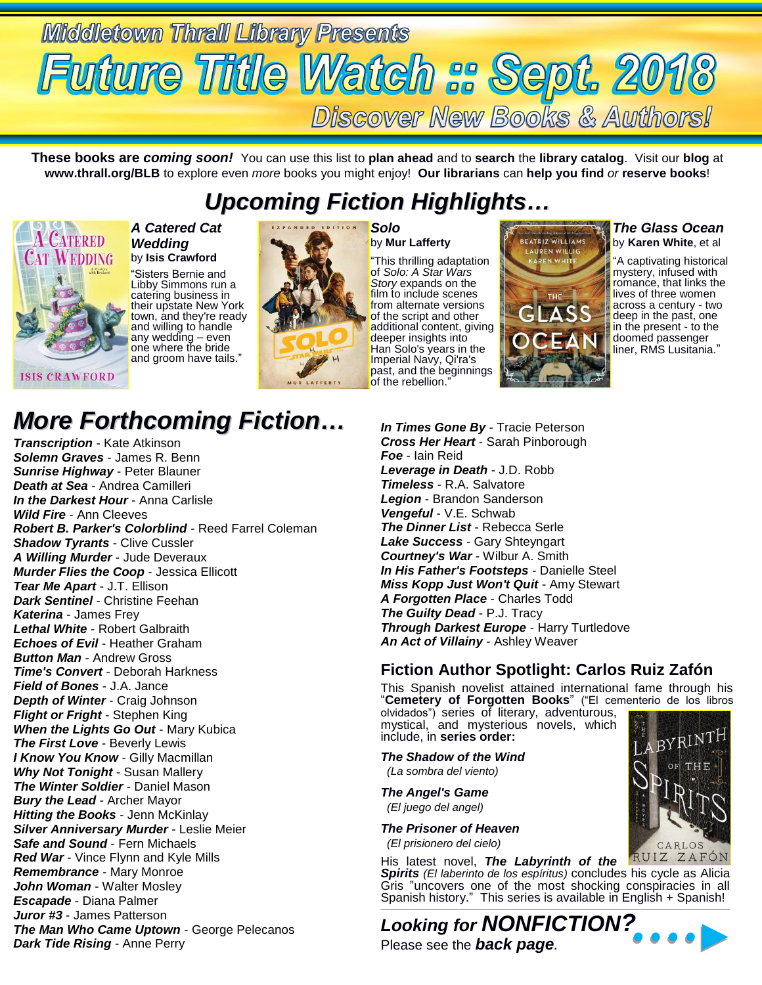

**These books are** *coming soon!* You can use this list to **plan ahead** and to **search** the **library catalog**. Visit our **blog** at **www.thrall.org/BLB** to explore even *more* books you might enjoy! **Our librarians** can **help you find** *or* **reserve books**!

### *Upcoming Fiction Highlights…*



#### *A Catered Cat Wedding* by **Isis Crawford**

"Sisters Bernie and Libby Simmons run a catering business in their upstate New York town, and they're ready and willing to handle any wedding – even one where the bride and groom have tails."



*Solo* by **Mur Lafferty**

"This thrilling adaptation of *Solo: A Star Wars Story* expands on the film to include scenes from alternate versions of the script and other additional content, giving deeper insights into Han Solo's years in the Imperial Navy, Qi'ra's past, and the beginnings of the rebellion."



*The Glass Ocean* by **Karen White**, et al

"A captivating historical mystery, infused with romance, that links the lives of three women across a century - two deep in the past, one in the present - to the doomed passenger liner, RMS Lusitania."

## *More Forthcoming Fiction…*

*Transcription* - Kate Atkinson *Solemn Graves* - James R. Benn *Sunrise Highway* - Peter Blauner *Death at Sea* - Andrea Camilleri *In the Darkest Hour* - Anna Carlisle *Wild Fire* - Ann Cleeves *Robert B. Parker's Colorblind* - Reed Farrel Coleman *Shadow Tyrants* - Clive Cussler *A Willing Murder* - Jude Deveraux *Murder Flies the Coop* - Jessica Ellicott *Tear Me Apart* - J.T. Ellison *Dark Sentinel* - Christine Feehan *Katerina* - James Frey *Lethal White* - Robert Galbraith *Echoes of Evil* - Heather Graham *Button Man* - Andrew Gross *Time's Convert* - Deborah Harkness *Field of Bones* - J.A. Jance *Depth of Winter* - Craig Johnson *Flight or Fright* - Stephen King *When the Lights Go Out* - Mary Kubica *The First Love* - Beverly Lewis *I Know You Know* - Gilly Macmillan *Why Not Tonight* - Susan Mallery *The Winter Soldier* - Daniel Mason *Bury the Lead* - Archer Mayor **Hitting the Books** - Jenn McKinlay *Silver Anniversary Murder* - Leslie Meier *Safe and Sound* - Fern Michaels *Red War* - Vince Flynn and Kyle Mills *Remembrance* - Mary Monroe *John Woman* - Walter Mosley *Escapade* - Diana Palmer *Juror #3* - James Patterson *The Man Who Came Uptown* - George Pelecanos *Dark Tide Rising* - Anne Perry

*In Times Gone By* - Tracie Peterson *Cross Her Heart* - Sarah Pinborough *Foe* - Iain Reid *Leverage in Death* - J.D. Robb *Timeless* - R.A. Salvatore *Legion* - Brandon Sanderson *Vengeful* - V.E. Schwab *The Dinner List* - Rebecca Serle *Lake Success* - Gary Shteyngart *Courtney's War* - Wilbur A. Smith *In His Father's Footsteps* - Danielle Steel *Miss Kopp Just Won't Quit* - Amy Stewart *A Forgotten Place* - Charles Todd *The Guilty Dead* - P.J. Tracy *Through Darkest Europe* - Harry Turtledove *An Act of Villainy* - Ashley Weaver

### **Fiction Author Spotlight: Carlos Ruiz Zafón**

This Spanish novelist attained international fame through his "**Cemetery of Forgotten Books**" ("El cementerio de los libros

olvidados") series of literary, adventurous, mystical, and mysterious novels, which include, in **series order:**

*The Shadow of the Wind (La sombra del viento)*

*The Angel's Game (El juego del angel)*

*The Prisoner of Heaven (El prisionero del cielo)*

His latest novel, *The Labyrinth of the Spirits (El laberinto de los espíritus)* concludes his cycle as Alicia Gris "uncovers one of the most shocking conspiracies in all Spanish history." This series is available in English + Spanish!

*Looking for NONFICTION?* Please see the *back page.*